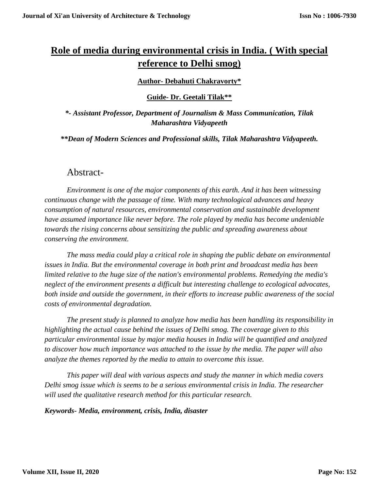# **Role of media during environmental crisis in India. ( With special reference to Delhi smog)**

#### **Author- Debahuti Chakravorty\***

**Guide- Dr. Geetali Tilak\*\***

*\*- Assistant Professor, Department of Journalism & Mass Communication, Tilak Maharashtra Vidyapeeth*

*\*\*Dean of Modern Sciences and Professional skills, Tilak Maharashtra Vidyapeeth.*

#### Abstract-

*Environment is one of the major components of this earth. And it has been witnessing continuous change with the passage of time. With many technological advances and heavy consumption of natural resources, environmental conservation and sustainable development have assumed importance like never before. The role played by media has become undeniable towards the rising concerns about sensitizing the public and spreading awareness about conserving the environment.*

*The mass media could play a critical role in shaping the public debate on environmental issues in India. But the environmental coverage in both print and broadcast media has been limited relative to the huge size of the nation's environmental problems. Remedying the media's neglect of the environment presents a difficult but interesting challenge to ecological advocates, both inside and outside the government, in their efforts to increase public awareness of the social costs of environmental degradation.*

*The present study is planned to analyze how media has been handling its responsibility in highlighting the actual cause behind the issues of Delhi smog. The coverage given to this particular environmental issue by major media houses in India will be quantified and analyzed to discover how much importance was attached to the issue by the media. The paper will also analyze the themes reported by the media to attain to overcome this issue.*

*This paper will deal with various aspects and study the manner in which media covers Delhi smog issue which is seems to be a serious environmental crisis in India. The researcher will used the qualitative research method for this particular research.*

*Keywords- Media, environment, crisis, India, disaster*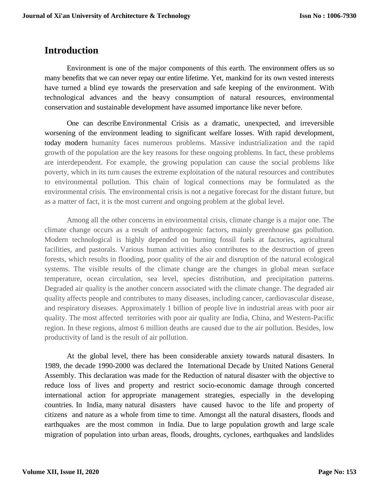#### **Introduction**

Environment is one of the major components of this earth*.* The environment offers us so many benefits that we can never repay our entire lifetime. Yet, mankind for its own vested interests have turned a blind eye towards the preservation and safe keeping of the environment. With technological advances and the heavy consumption of natural resources, environmental conservation and sustainable development have assumed importance like never before.

One can describe Environmental Crisis as a dramatic, unexpected, and irreversible worsening of the environment leading to significant welfare losses. With rapid development, today modern humanity faces numerous problems. Massive industrialization and the rapid growth of the population are the key reasons for these ongoing problems. In fact, these problems are interdependent. For example, the growing population can cause the social problems like poverty, which in its turn causes the extreme exploitation of the natural resources and contributes to environmental pollution. This chain of logical connections may be formulated as the environmental crisis. The environmental crisis is not a negative forecast for the distant future, but as a matter of fact, it is the most current and ongoing problem at the global level.

Among all the other concerns in environmental crisis, climate change is a major one. The climate change occurs as a result of anthropogenic factors, mainly greenhouse gas pollution. Modern technological is highly depended on burning fossil fuels at factories, agricultural facilities, and pastorals. Various human activities also contributes to the destruction of green forests, which results in flooding, poor quality of the air and disruption of the natural ecological systems. The visible results of the climate change are the changes in global mean surface temperature, ocean circulation, sea level, species distribution, and precipitation patterns. Degraded air quality is the another concern associated with the climate change. The degraded air quality affects people and contributes to many diseases, including cancer, cardiovascular disease, and respiratory diseases. Approximately 1 billion of people live in industrial areas with poor air quality. The most affected territories with poor air quality are India, China, and Western-Pacific region. In these regions, almost 6 million deaths are caused due to the air pollution. Besides, low productivity of land is the result of air pollution.

At the global level, there has been considerable anxiety towards natural disasters. In 1989, the decade 1990-2000 was declared the International Decade by United Nations General Assembly. This declaration was made for the Reduction of natural disaster with the objective to reduce loss of lives and property and restrict socio-economic damage through concerted international action for appropriate management strategies, especially in the developing countries. In India, many natural disasters have caused havoc to the life and property of citizens and nature as a whole from time to time. Amongst all the natural disasters, floods and earthquakes are the most common in India. Due to large population growth and large scale migration of population into urban areas, floods, droughts, cyclones, earthquakes and landslides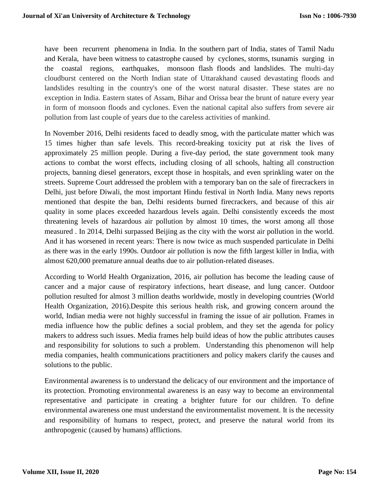have been recurrent phenomena in India. In the southern part of India, states of Tamil Nadu and Kerala, have been witness to catastrophe caused by cyclones, storms, tsunamis surging in the coastal regions, earthquakes, monsoon flash floods and landslides. The multi-day cloudburst centered on the North Indian state of Uttarakhand caused devastating floods and landslides resulting in the country's one of the worst natural disaster. These states are no exception in India. Eastern states of Assam, Bihar and Orissa bear the brunt of nature every year in form of monsoon floods and cyclones. Even the national capital also suffers from severe air pollution from last couple of years due to the careless activities of mankind.

In November 2016, Delhi residents faced to deadly smog, with the particulate matter which was 15 times higher than safe levels. This record-breaking toxicity put at risk the lives of approximately 25 million people. During a five-day period, the state government took many actions to combat the worst effects, including closing of all schools, halting all construction projects, banning diesel generators, except those in hospitals, and even sprinkling water on the streets. Supreme Court addressed the problem with a temporary ban on the sale of firecrackers in Delhi, just before Diwali, the most important Hindu festival in North India. Many news reports mentioned that despite the ban, Delhi residents burned firecrackers, and because of this air quality in some places exceeded hazardous levels again. Delhi consistently exceeds the most threatening levels of hazardous air pollution by almost 10 times, the worst among all those measured . In 2014, Delhi surpassed Beijing as the city with the worst air pollution in the world. And it has worsened in recent years: There is now twice as much suspended particulate in Delhi as there was in the early 1990s. Outdoor air pollution is now the fifth largest killer in India, with almost 620,000 premature annual deaths due to air pollution-related diseases.

According to World Health Organization, 2016, air pollution has become the leading cause of cancer and a major cause of respiratory infections, heart disease, and lung cancer. Outdoor pollution resulted for almost 3 million deaths worldwide, mostly in developing countries (World Health Organization, 2016).Despite this serious health risk, and growing concern around the world, Indian media were not highly successful in framing the issue of air pollution. Frames in media influence how the public defines a social problem, and they set the agenda for policy makers to address such issues. Media frames help build ideas of how the public attributes causes and responsibility for solutions to such a problem. Understanding this phenomenon will help media companies, health communications practitioners and policy makers clarify the causes and solutions to the public.

Environmental awareness is to understand the delicacy of our environment and the importance of its protection. Promoting environmental awareness is an easy way to become an environmental representative and participate in creating a brighter future for our children. To define environmental awareness one must understand the environmentalist movement. It is the necessity and responsibility of humans to respect, protect, and preserve the natural world from its anthropogenic (caused by humans) afflictions.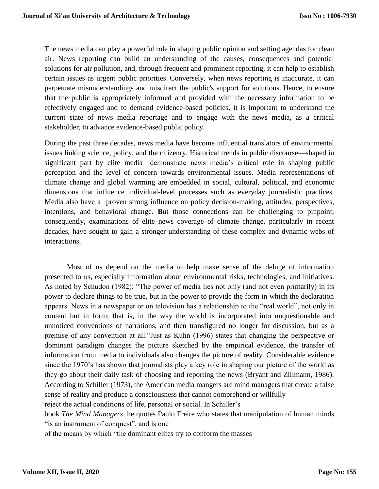The news media can play a powerful role in shaping public opinion and setting agendas for clean air. News reporting can build an understanding of the causes, consequences and potential solutions for air pollution, and, through frequent and prominent reporting, it can help to establish certain issues as urgent public priorities. Conversely, when news reporting is inaccurate, it can perpetuate misunderstandings and misdirect the public's support for solutions. Hence, to ensure that the public is appropriately informed and provided with the necessary information to be effectively engaged and to demand evidence-based policies, it is important to understand the current state of news media reportage and to engage with the news media, as a critical stakeholder, to advance evidence-based public policy.

During the past three decades, news media have become influential translators of environmental issues linking science, policy, and the citizenry. Historical trends in public discourse—shaped in significant part by elite media—demonstrate news media's critical role in shaping public perception and the level of concern towards environmental issues. Media representations of climate change and global warming are embedded in social, cultural, political, and economic dimensions that influence individual-level processes such as everyday journalistic practices. Media also have a proven strong influence on policy decision-making, attitudes, perspectives, intentions, and behavioral change. **B**ut those connections can be challenging to pinpoint; consequently, examinations of elite news coverage of climate change, particularly in recent decades, have sought to gain a stronger understanding of these complex and dynamic webs of interactions.

Most of us depend on the media to help make sense of the deluge of information presented to us, especially information about environmental risks, technologies, and initiatives. As noted by Schudon (1982): "The power of media lies not only (and not even primarily) in its power to declare things to be true, but in the power to provide the form in which the declaration appears. News in a newspaper or on television has a relationship to the "real world", not only in content but in form; that is, in the way the world is incorporated into unquestionable and unnoticed conventions of narrations, and then transfigured no longer for discussion, but as a premise of any convention at all."Just as Kuhn (1996) states that changing the perspective or dominant paradigm changes the picture sketched by the empirical evidence, the transfer of information from media to individuals also changes the picture of reality. Considerable evidence since the 1970's has shown that journalists play a key role in shaping our picture of the world as they go about their daily task of choosing and reporting the news (Bryant and Zillmann, 1986). According to Schiller (1973), the American media mangers are mind managers that create a false sense of reality and produce a consciousness that cannot comprehend or willfully reject the actual conditions of life, personal or social. In Schiller's

book *The Mind Managers*, he quotes Paulo Freire who states that manipulation of human minds "is an instrument of conquest", and is one

of the means by which "the dominant elites try to conform the masses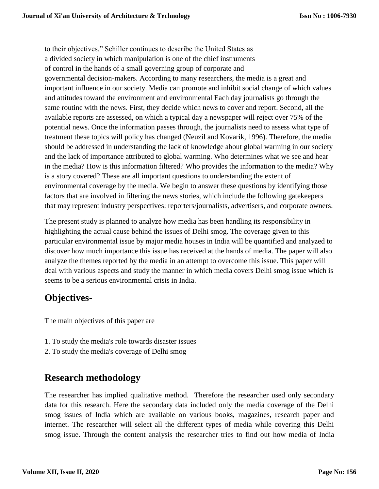to their objectives." Schiller continues to describe the United States as a divided society in which manipulation is one of the chief instruments of control in the hands of a small governing group of corporate and governmental decision-makers. According to many researchers, the media is a great and important influence in our society. Media can promote and inhibit social change of which values and attitudes toward the environment and environmental Each day journalists go through the same routine with the news. First, they decide which news to cover and report. Second, all the available reports are assessed, on which a typical day a newspaper will reject over 75% of the potential news. Once the information passes through, the journalists need to assess what type of treatment these topics will policy has changed (Neuzil and Kovarik, 1996). Therefore, the media should be addressed in understanding the lack of knowledge about global warming in our society and the lack of importance attributed to global warming. Who determines what we see and hear in the media? How is this information filtered? Who provides the information to the media? Why is a story covered? These are all important questions to understanding the extent of environmental coverage by the media. We begin to answer these questions by identifying those factors that are involved in filtering the news stories, which include the following gatekeepers that may represent industry perspectives: reporters/journalists, advertisers, and corporate owners.

The present study is planned to analyze how media has been handling its responsibility in highlighting the actual cause behind the issues of Delhi smog. The coverage given to this particular environmental issue by major media houses in India will be quantified and analyzed to discover how much importance this issue has received at the hands of media. The paper will also analyze the themes reported by the media in an attempt to overcome this issue. This paper will deal with various aspects and study the manner in which media covers Delhi smog issue which is seems to be a serious environmental crisis in India.

### **Objectives-**

The main objectives of this paper are

- 1. To study the media's role towards disaster issues
- 2. To study the media's coverage of Delhi smog

# **Research methodology**

The researcher has implied qualitative method. Therefore the researcher used only secondary data for this research. Here the secondary data included only the media coverage of the Delhi smog issues of India which are available on various books, magazines, research paper and internet. The researcher will select all the different types of media while covering this Delhi smog issue. Through the content analysis the researcher tries to find out how media of India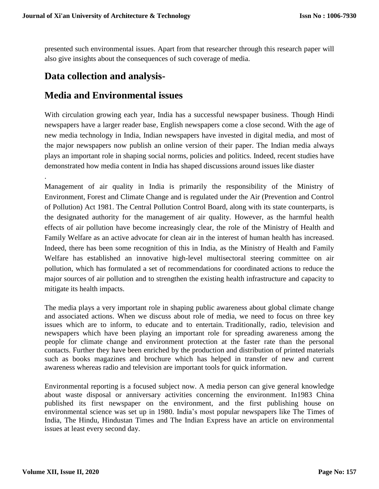presented such environmental issues. Apart from that researcher through this research paper will also give insights about the consequences of such coverage of media.

#### **Data collection and analysis-**

### **Media and Environmental issues**

With circulation growing each year, India has a successful newspaper business. Though Hindi newspapers have a larger reader base, English newspapers come a close second. With the age of new media technology in India, Indian newspapers have invested in digital media, and most of the major newspapers now publish an online version of their paper. The Indian media always plays an important role in shaping social norms, policies and politics. Indeed, recent studies have demonstrated how media content in India has shaped discussions around issues like diaster

Management of air quality in India is primarily the responsibility of the Ministry of Environment, Forest and Climate Change and is regulated under the Air (Prevention and Control of Pollution) Act 1981. The Central Pollution Control Board, along with its state counterparts, is the designated authority for the management of air quality. However, as the harmful health effects of air pollution have become increasingly clear, the role of the Ministry of Health and Family Welfare as an active advocate for clean air in the interest of human health has increased. Indeed, there has been some recognition of this in India, as the Ministry of Health and Family Welfare has established an innovative high-level multisectoral steering committee on air pollution, which has formulated a set of recommendations for coordinated actions to reduce the major sources of air pollution and to strengthen the existing health infrastructure and capacity to mitigate its health impacts.

The media plays a very important role in shaping public awareness about global climate change and associated actions. When we discuss about role of media, we need to focus on three key issues which are to inform, to educate and to entertain. Traditionally, radio, television and newspapers which have been playing an important role for spreading awareness among the people for climate change and environment protection at the faster rate than the personal contacts. Further they have been enriched by the production and distribution of printed materials such as books magazines and brochure which has helped in transfer of new and current awareness whereas radio and television are important tools for quick information.

Environmental reporting is a focused subject now. A media person can give general knowledge about waste disposal or anniversary activities concerning the environment. In1983 China published its first newspaper on the environment, and the first publishing house on environmental science was set up in 1980. India's most popular newspapers like The Times of India, The Hindu, Hindustan Times and The Indian Express have an article on environmental issues at least every second day.

.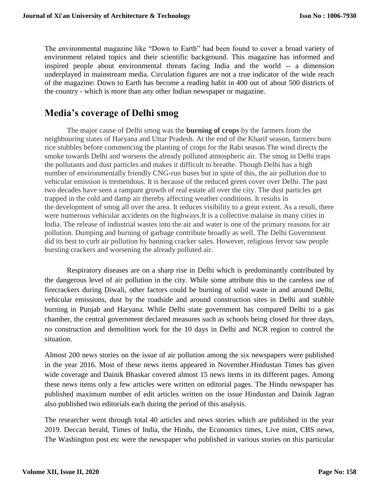The environmental magazine like "Down to Earth" had been found to cover a broad variety of environment related topics and their scientific background. This magazine has informed and inspired people about environmental threats facing India and the world -- a dimension underplayed in mainstream media. Circulation figures are not a true indicator of the wide reach of the magazine: Down to Earth has become a reading habit in 400 out of about 500 districts of the country - which is more than any other Indian newspaper or magazine.

### **Media's coverage of Delhi smog**

The major cause of Delhi smog was the **burning of crops** by the farmers from the neighbouring states of Haryana and Uttar Pradesh. At the end of the Kharif season, farmers burn rice stubbles before commencing the planting of crops for the Rabi season.The wind directs the smoke towards Delhi and worsens the already polluted atmospheric air. The smog in Delhi traps the pollutants and dust particles and makes it difficult to breathe. Though Delhi has a high number of environmentally friendly CNG-run buses but in spite of this, the air pollution due to vehicular emission is tremendous. It is because of the reduced green cover over Delhi. The past two decades have seen a rampant growth of real estate all over the city. The dust particles get trapped in the cold and damp air thereby affecting weather conditions. It results in the development of smog all over the area. It reduces visibility to a great extent. As a result, there were numerous vehicular accidents on the highways.It is a collective malaise in many cities in India. The release of industrial wastes into the air and water is one of the primary reasons for air pollution. Dumping and burning of garbage contribute broadly as well. The Delhi Government did its best to curb air pollution by banning cracker sales. However, religious fervor saw people bursting crackers and worsening the already polluted air.

Respiratory diseases are on a sharp rise in Delhi which is predominantly contributed by the dangerous level of air pollution in the city. While some attribute this to the careless use of firecrackers during Diwali, other factors could be burning of solid waste in and around Delhi, vehicular emissions, dust by the roadside and around construction sites in Delhi and stubble burning in Punjab and Haryana. While Delhi state government has compared Delhi to a gas chamber, the central government declared measures such as schools being closed for three days, no construction and demolition work for the 10 days in Delhi and NCR region to control the situation.

Almost 200 news stories on the issue of air pollution among the six newspapers were published in the year 2016. Most of these news items appeared in November.Hindustan Times has given wide coverage and Dainik Bhaskar covered almost 15 news items in its different pages. Among these news items only a few articles were written on editorial pages. The Hindu newspaper has published maximum number of edit articles written on the issue Hindustan and Dainik Jagran also published two editorials each during the period of this analysis.

The researcher went through total 40 articles and news stories which are published in the year 2019. Deccan herald, Times of India, the Hindu, the Economics times, Live mint, CBS news, The Washington post etc were the newspaper who published in various stories on this particular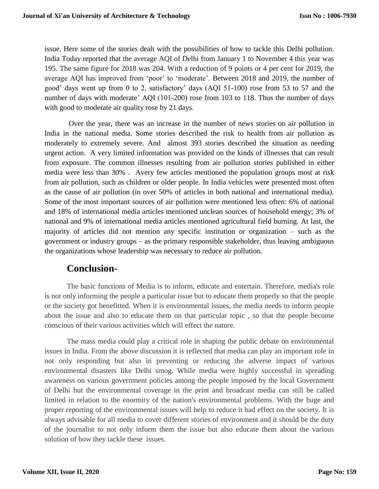issue. Here some of the stories dealt with the possibilities of how to tackle this Delhi pollution. India Today reported that the average AQI of Delhi from January 1 to November 4 this year was 195. The same figure for 2018 was 204. With a reduction of 9 points or 4 per cent for 2019, the average AQI has improved from 'poor' to 'moderate'. Between 2018 and 2019, the number of good' days went up from 0 to 2, satisfactory' days (AQI 51-100) rose from 53 to 57 and the number of days with moderate' AQI (101-200) rose from 103 to 118. Thus the number of days with good to moderate air quality rose by 21 days.

Over the year, there was an increase in the number of news stories on air pollution in India in the national media. Some stories described the risk to health from air pollution as moderately to extremely severe. And almost 393 stories described the situation as needing urgent action. A very limited information was provided on the kinds of illnesses that can result from exposure. The common illnesses resulting from air pollution stories published in either media were less than 30% . Avery few articles mentioned the population groups most at risk from air pollution, such as children or older people. In India vehicles were presented most often as the cause of air pollution (in over 50% of articles in both national and international media). Some of the most important sources of air pollution were mentioned less often: 6% of national and 18% of international media articles mentioned unclean sources of household energy; 3% of national and 9% of international media articles mentioned agricultural field burning. At last, the majority of articles did not mention any specific institution or organization – such as the government or industry groups – as the primary responsible stakeholder, thus leaving ambiguous the organizations whose leadership was necessary to reduce air pollution.

#### **Conclusion-**

The basic functions of Media is to inform, educate and entertain. Therefore, media's role is not only informing the people a particular issue but to educate them properly so that the people or the society got benefitted. When it is environmental issues, the media needs to inform people about the issue and also to educate them on that particular topic , so that the people become conscious of their various activities which will effect the nature.

The mass media could play a critical role in shaping the public debate on environmental issues in India. From the above discussion it is reflected that media can play an important role in not only responding but also in preventing or reducing the adverse impact of various environmental disasters like Delhi smog. While media were highly successful in spreading awareness on various government policies among the people imposed by the local Government of Delhi but the environmental coverage in the print and broadcast media can still be called limited in relation to the enormity of the nation's environmental problems. With the huge and proper reporting of the environmental issues will help to reduce it bad effect on the society. It is always advisable for all media to cover different stories of environment and it should be the duty of the journalist to not only inform them the issue but also educate them about the various solution of how they tackle these issues.